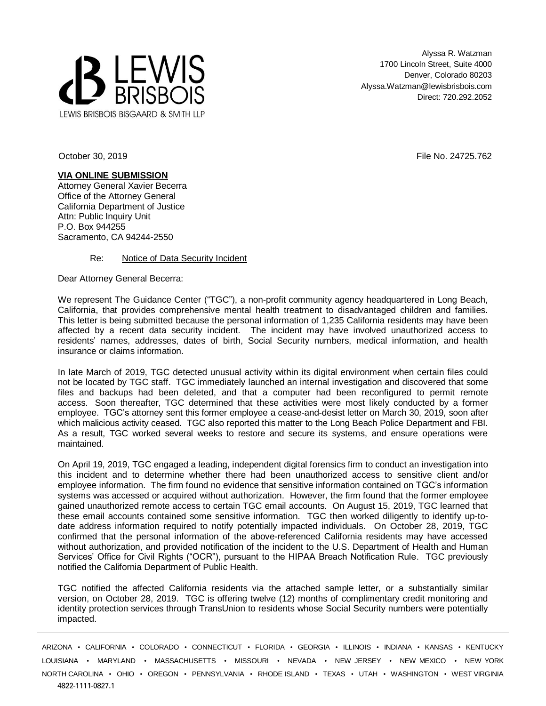

Alyssa R. Watzman 1700 Lincoln Street, Suite 4000 Denver, Colorado 80203 Alyssa.Watzman@lewisbrisbois.com Direct: 720.292.2052

October 30, 2019 **File No. 24725.762** File No. 24725.762

**VIA ONLINE SUBMISSION** Attorney General Xavier Becerra Office of the Attorney General California Department of Justice Attn: Public Inquiry Unit P.O. Box 944255 Sacramento, CA 94244-2550

## Re: Notice of Data Security Incident

Dear Attorney General Becerra:

We represent The Guidance Center ("TGC"), a non-profit community agency headquartered in Long Beach, California, that provides comprehensive mental health treatment to disadvantaged children and families. This letter is being submitted because the personal information of 1,235 California residents may have been affected by a recent data security incident. The incident may have involved unauthorized access to residents' names, addresses, dates of birth, Social Security numbers, medical information, and health insurance or claims information.

In late March of 2019, TGC detected unusual activity within its digital environment when certain files could not be located by TGC staff. TGC immediately launched an internal investigation and discovered that some files and backups had been deleted, and that a computer had been reconfigured to permit remote access. Soon thereafter, TGC determined that these activities were most likely conducted by a former employee. TGC's attorney sent this former employee a cease-and-desist letter on March 30, 2019, soon after which malicious activity ceased. TGC also reported this matter to the Long Beach Police Department and FBI. As a result, TGC worked several weeks to restore and secure its systems, and ensure operations were maintained.

On April 19, 2019, TGC engaged a leading, independent digital forensics firm to conduct an investigation into this incident and to determine whether there had been unauthorized access to sensitive client and/or employee information. The firm found no evidence that sensitive information contained on TGC's information systems was accessed or acquired without authorization. However, the firm found that the former employee gained unauthorized remote access to certain TGC email accounts. On August 15, 2019, TGC learned that these email accounts contained some sensitive information. TGC then worked diligently to identify up-todate address information required to notify potentially impacted individuals. On October 28, 2019, TGC confirmed that the personal information of the above-referenced California residents may have accessed without authorization, and provided notification of the incident to the U.S. Department of Health and Human Services' Office for Civil Rights ("OCR"), pursuant to the HIPAA Breach Notification Rule. TGC previously notified the California Department of Public Health.

TGC notified the affected California residents via the attached sample letter, or a substantially similar version, on October 28, 2019. TGC is offering twelve (12) months of complimentary credit monitoring and identity protection services through TransUnion to residents whose Social Security numbers were potentially impacted.

ARIZONA • CALIFORNIA • COLORADO • CONNECTICUT • FLORIDA • GEORGIA • ILLINOIS • INDIANA • KANSAS • KENTUCKY LOUISIANA • MARYLAND • MASSACHUSETTS • MISSOURI • NEVADA • NEW JERSEY • NEW MEXICO • NEW YORK NORTH CAROLINA • OHIO • OREGON • PENNSYLVANIA • RHODE ISLAND • TEXAS • UTAH • WASHINGTON • WEST VIRGINIA 4822-1111-0827.1